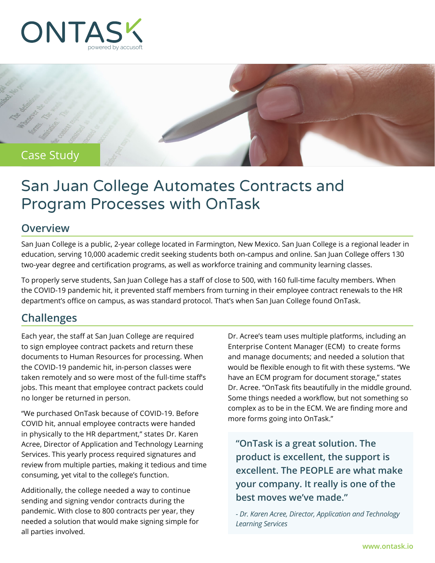



# San Juan College Automates Contracts and Program Processes with OnTask

#### **Overview**

San Juan College is a public, 2-year college located in Farmington, New Mexico. San Juan College is a regional leader in education, serving 10,000 academic credit seeking students both on-campus and online. San Juan College offers 130 two-year degree and certification programs, as well as workforce training and community learning classes.

To properly serve students, San Juan College has a staff of close to 500, with 160 full-time faculty members. When the COVID-19 pandemic hit, it prevented staff members from turning in their employee contract renewals to the HR department's office on campus, as was standard protocol. That's when San Juan College found OnTask.

#### **Challenges**

Each year, the staff at San Juan College are required to sign employee contract packets and return these documents to Human Resources for processing. When the COVID-19 pandemic hit, in-person classes were taken remotely and so were most of the full-time staff's jobs. This meant that employee contract packets could no longer be returned in person.

"We purchased OnTask because of COVID-19. Before COVID hit, annual employee contracts were handed in physically to the HR department," states Dr. Karen Acree, Director of Application and Technology Learning Services. This yearly process required signatures and review from multiple parties, making it tedious and time consuming, yet vital to the college's function.

Additionally, the college needed a way to continue sending and signing vendor contracts during the pandemic. With close to 800 contracts per year, they needed a solution that would make signing simple for all parties involved.

Dr. Acree's team uses multiple platforms, including an Enterprise Content Manager (ECM) to create forms and manage documents; and needed a solution that would be flexible enough to fit with these systems. "We have an ECM program for document storage," states Dr. Acree. "OnTask fits beautifully in the middle ground. Some things needed a workflow, but not something so complex as to be in the ECM. We are finding more and more forms going into OnTask."

**"OnTask is a great solution. The product is excellent, the support is excellent. The PEOPLE are what make your company. It really is one of the best moves we've made."** 

*- Dr. Karen Acree, Director, Application and Technology Learning Services*